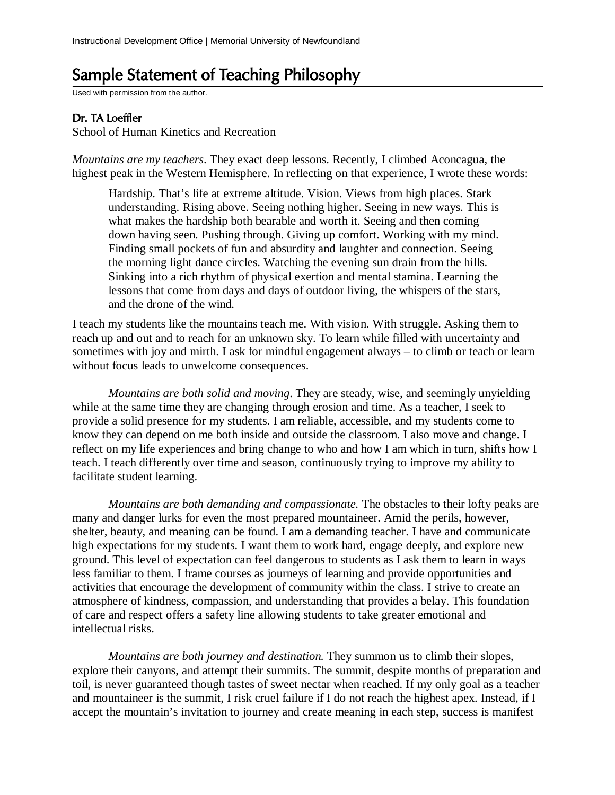## Sample Statement of Teaching Philosophy

Used with permission from the author.

## Dr. TA Loeffler

School of Human Kinetics and Recreation

*Mountains are my teachers*. They exact deep lessons. Recently, I climbed Aconcagua, the highest peak in the Western Hemisphere. In reflecting on that experience, I wrote these words:

Hardship. That's life at extreme altitude. Vision. Views from high places. Stark understanding. Rising above. Seeing nothing higher. Seeing in new ways. This is what makes the hardship both bearable and worth it. Seeing and then coming down having seen. Pushing through. Giving up comfort. Working with my mind. Finding small pockets of fun and absurdity and laughter and connection. Seeing the morning light dance circles. Watching the evening sun drain from the hills. Sinking into a rich rhythm of physical exertion and mental stamina. Learning the lessons that come from days and days of outdoor living, the whispers of the stars, and the drone of the wind.

I teach my students like the mountains teach me. With vision. With struggle. Asking them to reach up and out and to reach for an unknown sky. To learn while filled with uncertainty and sometimes with joy and mirth. I ask for mindful engagement always – to climb or teach or learn without focus leads to unwelcome consequences.

*Mountains are both solid and moving*. They are steady, wise, and seemingly unyielding while at the same time they are changing through erosion and time. As a teacher, I seek to provide a solid presence for my students. I am reliable, accessible, and my students come to know they can depend on me both inside and outside the classroom. I also move and change. I reflect on my life experiences and bring change to who and how I am which in turn, shifts how I teach. I teach differently over time and season, continuously trying to improve my ability to facilitate student learning.

*Mountains are both demanding and compassionate.* The obstacles to their lofty peaks are many and danger lurks for even the most prepared mountaineer. Amid the perils, however, shelter, beauty, and meaning can be found. I am a demanding teacher. I have and communicate high expectations for my students. I want them to work hard, engage deeply, and explore new ground. This level of expectation can feel dangerous to students as I ask them to learn in ways less familiar to them. I frame courses as journeys of learning and provide opportunities and activities that encourage the development of community within the class. I strive to create an atmosphere of kindness, compassion, and understanding that provides a belay. This foundation of care and respect offers a safety line allowing students to take greater emotional and intellectual risks.

*Mountains are both journey and destination.* They summon us to climb their slopes, explore their canyons, and attempt their summits. The summit, despite months of preparation and toil, is never guaranteed though tastes of sweet nectar when reached. If my only goal as a teacher and mountaineer is the summit, I risk cruel failure if I do not reach the highest apex. Instead, if I accept the mountain's invitation to journey and create meaning in each step, success is manifest